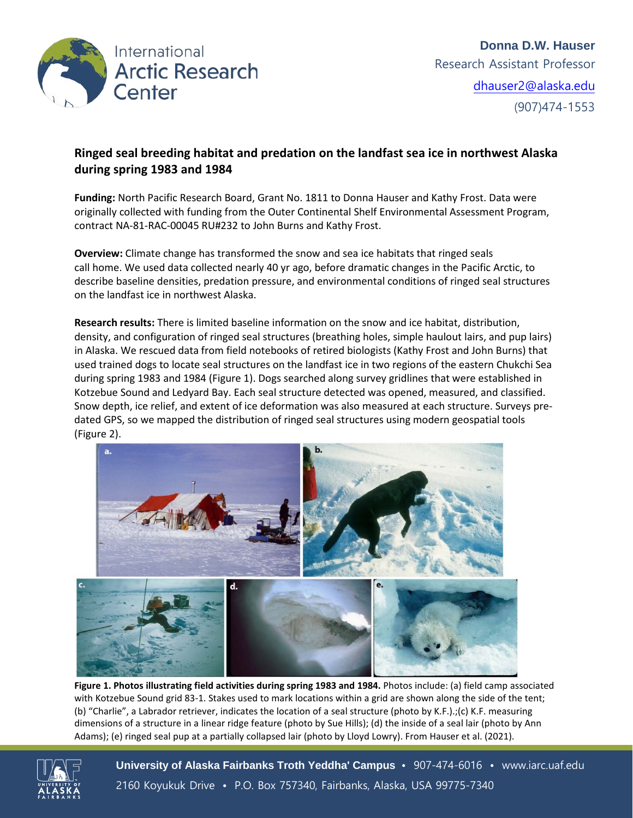

## **Ringed seal breeding habitat and predation on the landfast sea ice in northwest Alaska during spring 1983 and 1984**

**Funding:** North Pacific Research Board, Grant No. 1811 to Donna Hauser and Kathy Frost. Data were originally collected with funding from the Outer Continental Shelf Environmental Assessment Program, contract NA-81-RAC-00045 RU#232 to John Burns and Kathy Frost.

**Overview:** Climate change has transformed the snow and sea ice habitats that ringed seals call home. We used data collected nearly 40 yr ago, before dramatic changes in the Pacific Arctic, to describe baseline densities, predation pressure, and environmental conditions of ringed seal structures on the landfast ice in northwest Alaska.

**Research results:** There is limited baseline information on the snow and ice habitat, distribution, density, and configuration of ringed seal structures (breathing holes, simple haulout lairs, and pup lairs) in Alaska. We rescued data from field notebooks of retired biologists (Kathy Frost and John Burns) that used trained dogs to locate seal structures on the landfast ice in two regions of the eastern Chukchi Sea during spring 1983 and 1984 (Figure 1). Dogs searched along survey gridlines that were established in Kotzebue Sound and Ledyard Bay. Each seal structure detected was opened, measured, and classified. Snow depth, ice relief, and extent of ice deformation was also measured at each structure. Surveys predated GPS, so we mapped the distribution of ringed seal structures using modern geospatial tools (Figure 2).



**Figure 1. Photos illustrating field activities during spring 1983 and 1984.** Photos include: (a) field camp associated with Kotzebue Sound grid 83-1. Stakes used to mark locations within a grid are shown along the side of the tent; (b) "Charlie", a Labrador retriever, indicates the location of a seal structure (photo by K.F.).;(c) K.F. measuring dimensions of a structure in a linear ridge feature (photo by Sue Hills); (d) the inside of a seal lair (photo by Ann Adams); (e) ringed seal pup at a partially collapsed lair (photo by Lloyd Lowry). From Hauser et al. (2021).

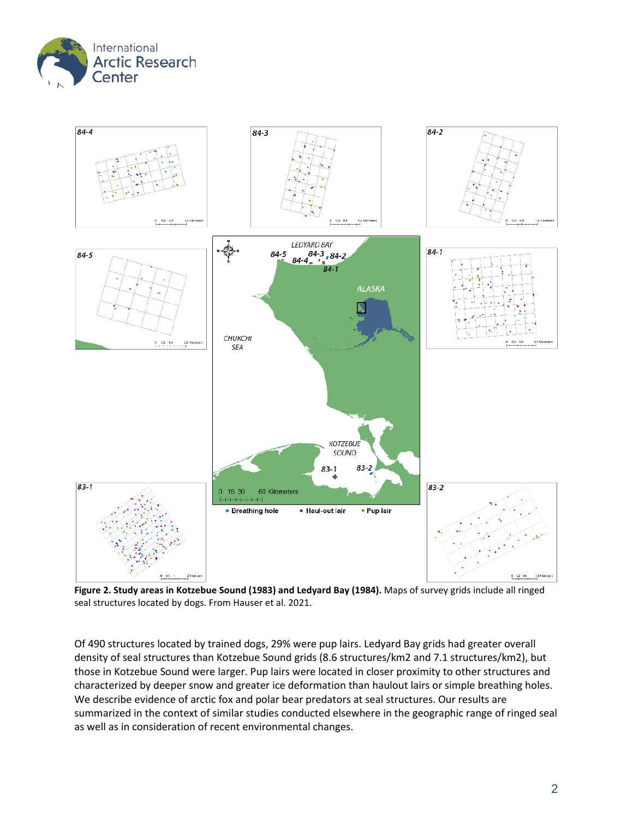



**Figure 2. Study areas in Kotzebue Sound (1983) and Ledyard Bay (1984).** Maps of survey grids include all ringed seal structures located by dogs. From Hauser et al. 2021.

Of 490 structures located by trained dogs, 29% were pup lairs. Ledyard Bay grids had greater overall density of seal structures than Kotzebue Sound grids (8.6 structures/km2 and 7.1 structures/km2), but those in Kotzebue Sound were larger. Pup lairs were located in closer proximity to other structures and characterized by deeper snow and greater ice deformation than haulout lairs or simple breathing holes. We describe evidence of arctic fox and polar bear predators at seal structures. Our results are summarized in the context of similar studies conducted elsewhere in the geographic range of ringed seal as well as in consideration of recent environmental changes.